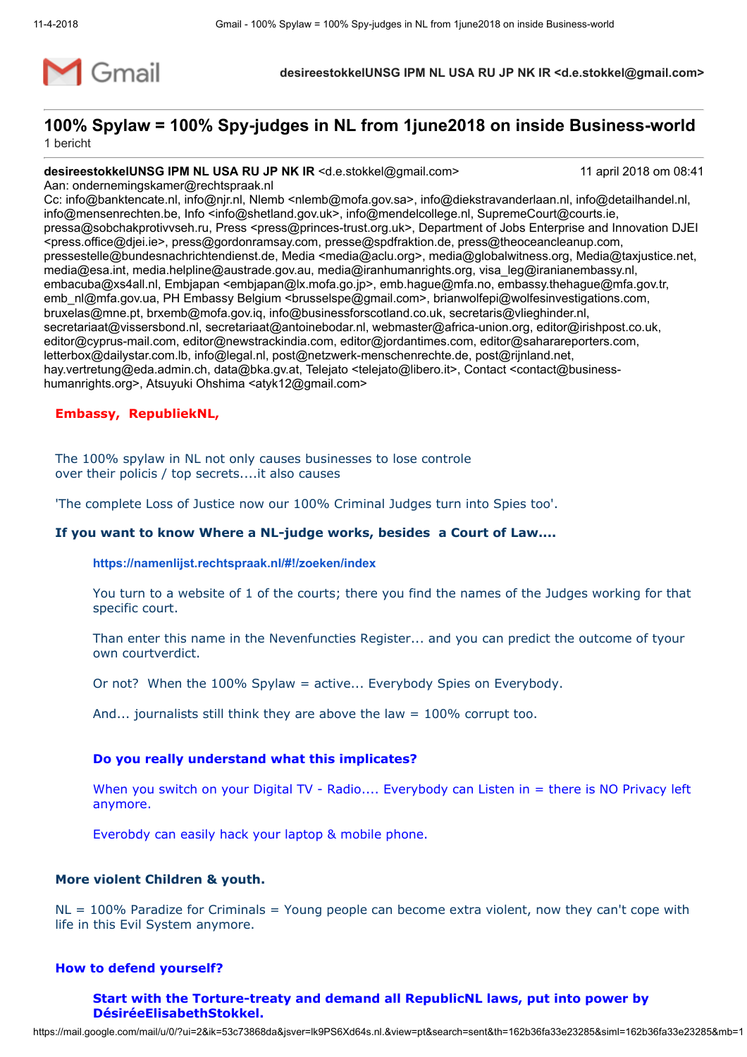

# 100% Spylaw = 100% Spy-judges in NL from 1june2018 on inside Business-world 1 bericht

# desireestokkelUNSG IPM NL USA RU JP NK IR <d.e.stokkel@gmail.com> 11 april 2018 om 08:41

Aan: ondernemingskamer@rechtspraak.nl

Cc: info@banktencate.nl, info@njr.nl, Nlemb <nlemb@mofa.gov.sa>, info@diekstravanderlaan.nl, info@detailhandel.nl, info@mensenrechten.be, Info <info@shetland.gov.uk>, info@mendelcollege.nl, SupremeCourt@courts.ie, pressa@sobchakprotivvseh.ru, Press <press@princes-trust.org.uk>, Department of Jobs Enterprise and Innovation DJEI <press.office@djei.ie>, press@gordonramsay.com, presse@spdfraktion.de, press@theoceancleanup.com, pressestelle@bundesnachrichtendienst.de, Media <media@aclu.org>, media@globalwitness.org, Media@taxjustice.net, media@esa.int, media.helpline@austrade.gov.au, media@iranhumanrights.org, visa\_leg@iranianembassy.nl, embacuba@xs4all.nl, Embjapan <embjapan@lx.mofa.go.jp>, emb.hague@mfa.no, embassy.thehague@mfa.gov.tr, emb\_nl@mfa.gov.ua, PH Embassy Belgium <brusselspe@gmail.com>, brianwolfepi@wolfesinvestigations.com, bruxelas@mne.pt, brxemb@mofa.gov.iq, info@businessforscotland.co.uk, secretaris@vlieghinder.nl, secretariaat@vissersbond.nl, secretariaat@antoinebodar.nl, webmaster@africa-union.org, editor@irishpost.co.uk, editor@cyprus-mail.com, editor@newstrackindia.com, editor@jordantimes.com, editor@saharareporters.com, letterbox@dailystar.com.lb, info@legal.nl, post@netzwerk-menschenrechte.de, post@rijnland.net, hay.vertretung@eda.admin.ch, data@bka.gv.at, Telejato <telejato@libero.it>, Contact <contact@businesshumanrights.org>, Atsuyuki Ohshima <atyk12@gmail.com>

### Embassy, RepubliekNL,

The 100% spylaw in NL not only causes businesses to lose controle over their policis / top secrets....it also causes

'The complete Loss of Justice now our 100% Criminal Judges turn into Spies too'.

### If you want to know Where a NL-judge works, besides a Court of Law....

#### <https://namenlijst.rechtspraak.nl/#!/zoeken/index>

You turn to a website of 1 of the courts; there you find the names of the Judges working for that specific court.

Than enter this name in the Nevenfuncties Register... and you can predict the outcome of tyour own courtverdict.

Or not? When the 100% Spylaw = active... Everybody Spies on Everybody.

And... journalists still think they are above the law = 100% corrupt too.

### Do you really understand what this implicates?

When you switch on your Digital TV - Radio.... Everybody can Listen in = there is NO Privacy left anymore.

Everobdy can easily hack your laptop & mobile phone.

## More violent Children & youth.

 $NL = 100%$  Paradize for Criminals = Young people can become extra violent, now they can't cope with life in this Evil System anymore.

### How to defend yourself?

### Start with the Torture-treaty and demand all RepublicNL laws, put into power by DésiréeElisabethStokkel.